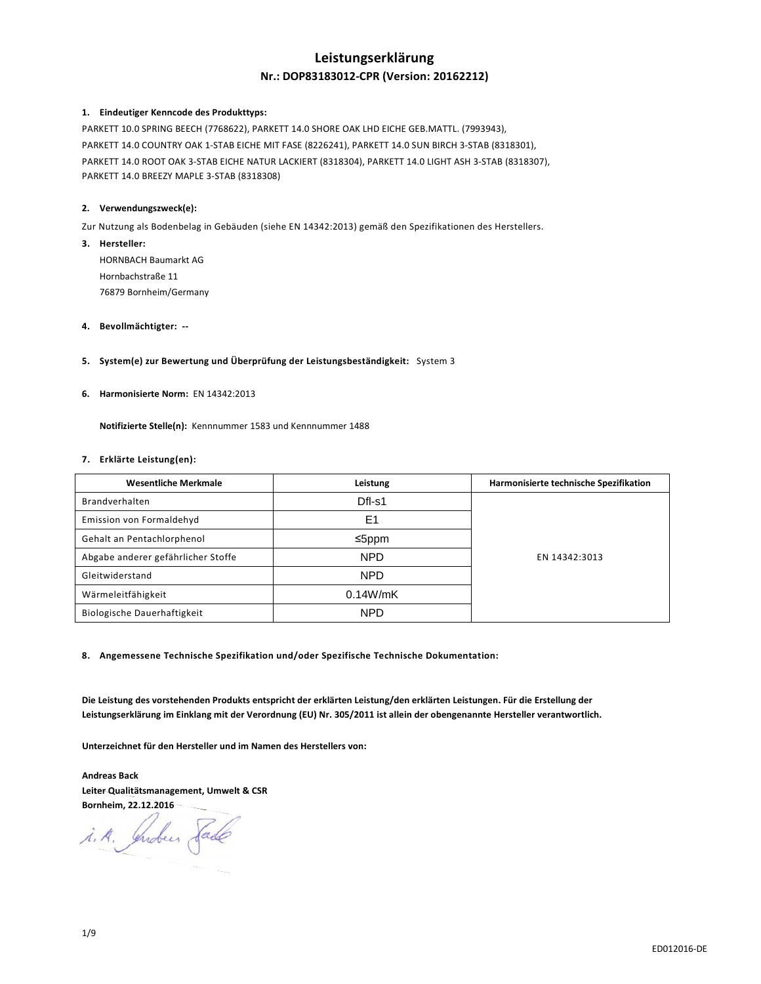# **Leistungserklärung Nr.: DOP83183012-CPR (Version: 20162212)**

### **1. Eindeutiger Kenncode des Produkttyps:**

PARKETT 10.0 SPRING BEECH (7768622), PARKETT 14.0 SHORE OAK LHD EICHE GEB.MATTL. (7993943), PARKETT 14.0 COUNTRY OAK 1-STAB EICHE MIT FASE (8226241), PARKETT 14.0 SUN BIRCH 3-STAB (8318301), PARKETT 14.0 ROOT OAK 3-STAB EICHE NATUR LACKIERT (8318304), PARKETT 14.0 LIGHT ASH 3-STAB (8318307), PARKETT 14.0 BREEZY MAPLE 3-STAB (8318308)

### **2. Verwendungszweck(e):**

Zur Nutzung als Bodenbelag in Gebäuden (siehe EN 14342:2013) gemäß den Spezifikationen des Herstellers.

**3. Hersteller:**  HORNBACH Baumarkt AG Hornbachstraße 11 76879 Bornheim/Germany

#### **4. Bevollmächtigter: --**

**5. System(e) zur Bewertung und Überprüfung der Leistungsbeständigkeit:** System 3

## **6. Harmonisierte Norm:** EN 14342:2013

 **Notifizierte Stelle(n):** Kennnummer 1583 und Kennnummer 1488

#### **7. Erklärte Leistung(en):**

| <b>Wesentliche Merkmale</b>        | Leistung       | Harmonisierte technische Spezifikation |
|------------------------------------|----------------|----------------------------------------|
| Brandverhalten                     | Dfl-s1         |                                        |
| Emission von Formaldehyd           | E <sub>1</sub> |                                        |
| Gehalt an Pentachlorphenol         | ≤5ppm          |                                        |
| Abgabe anderer gefährlicher Stoffe | <b>NPD</b>     | EN 14342:3013                          |
| Gleitwiderstand                    | <b>NPD</b>     |                                        |
| Wärmeleitfähigkeit                 | 0.14W/mK       |                                        |
| Biologische Dauerhaftigkeit        | <b>NPD</b>     |                                        |

**8. Angemessene Technische Spezifikation und/oder Spezifische Technische Dokumentation:** 

**Die Leistung des vorstehenden Produkts entspricht der erklärten Leistung/den erklärten Leistungen. Für die Erstellung der Leistungserklärung im Einklang mit der Verordnung (EU) Nr. 305/2011 ist allein der obengenannte Hersteller verantwortlich.** 

**Unterzeichnet für den Hersteller und im Namen des Herstellers von:** 

**Andreas Back Leiter Qualitätsmanagement, Umwelt & CSR** 

**Bornheim, 22.12.2016**<br>*i. A.* Indees Fade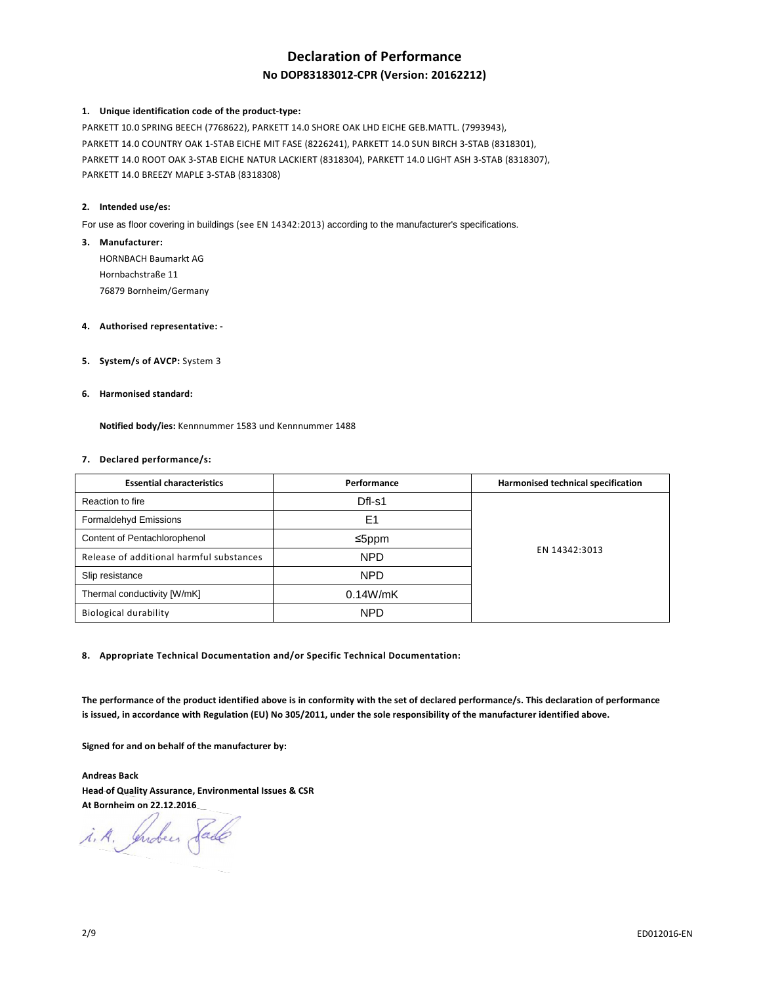# **Declaration of Performance**

# **No DOP83183012-CPR (Version: 20162212)**

#### **1. Unique identification code of the product-type:**

PARKETT 10.0 SPRING BEECH (7768622), PARKETT 14.0 SHORE OAK LHD EICHE GEB.MATTL. (7993943), PARKETT 14.0 COUNTRY OAK 1-STAB EICHE MIT FASE (8226241), PARKETT 14.0 SUN BIRCH 3-STAB (8318301), PARKETT 14.0 ROOT OAK 3-STAB EICHE NATUR LACKIERT (8318304), PARKETT 14.0 LIGHT ASH 3-STAB (8318307), PARKETT 14.0 BREEZY MAPLE 3-STAB (8318308)

#### **2. Intended use/es:**

For use as floor covering in buildings (see EN 14342:2013) according to the manufacturer's specifications.

**3. Manufacturer:**  HORNBACH Baumarkt AG Hornbachstraße 11 76879 Bornheim/Germany

#### **4. Authorised representative: -**

**5. System/s of AVCP:** System 3

#### **6. Harmonised standard:**

 **Notified body/ies:** Kennnummer 1583 und Kennnummer 1488

#### **7. Declared performance/s:**

| <b>Essential characteristics</b>         | Performance | Harmonised technical specification |
|------------------------------------------|-------------|------------------------------------|
| Reaction to fire                         | Dfl-s1      |                                    |
| Formaldehyd Emissions                    | E1          |                                    |
| Content of Pentachlorophenol             | ≤5ppm       |                                    |
| Release of additional harmful substances | <b>NPD</b>  | EN 14342:3013                      |
| Slip resistance                          | <b>NPD</b>  |                                    |
| Thermal conductivity [W/mK]              | 0.14W/mK    |                                    |
| <b>Biological durability</b>             | <b>NPD</b>  |                                    |

**8. Appropriate Technical Documentation and/or Specific Technical Documentation:** 

**The performance of the product identified above is in conformity with the set of declared performance/s. This declaration of performance is issued, in accordance with Regulation (EU) No 305/2011, under the sole responsibility of the manufacturer identified above.** 

**Signed for and on behalf of the manufacturer by:** 

**Andreas Back Head of Quality Assurance, Environmental Issues & CSR At Bornheim on 22.12.2016** 

i.A. Indees Sade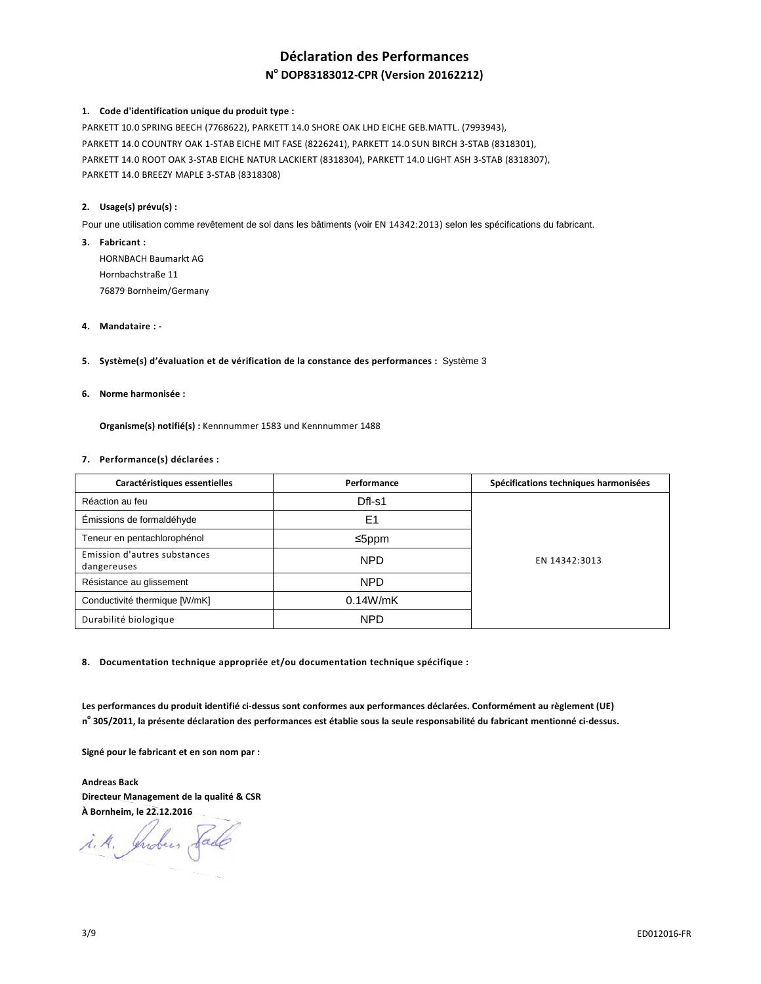# **Déclaration des Performances N o DOP83183012-CPR (Version 20162212)**

### **1. Code d'identification unique du produit type :**

PARKETT 10.0 SPRING BEECH (7768622), PARKETT 14.0 SHORE OAK LHD EICHE GEB.MATTL. (7993943), PARKETT 14.0 COUNTRY OAK 1-STAB EICHE MIT FASE (8226241), PARKETT 14.0 SUN BIRCH 3-STAB (8318301), PARKETT 14.0 ROOT OAK 3-STAB EICHE NATUR LACKIERT (8318304), PARKETT 14.0 LIGHT ASH 3-STAB (8318307), PARKETT 14.0 BREEZY MAPLE 3-STAB (8318308)

### **2. Usage(s) prévu(s) :**

Pour une utilisation comme revêtement de sol dans les bâtiments (voir EN 14342:2013) selon les spécifications du fabricant.

- **3. Fabricant :**  HORNBACH Baumarkt AG Hornbachstraße 11 76879 Bornheim/Germany
- **4. Mandataire :**
- **5. Système(s) d'évaluation et de vérification de la constance des performances :** Système 3

#### **6. Norme harmonisée :**

 **Organisme(s) notifié(s) :** Kennnummer 1583 und Kennnummer 1488

#### **7. Performance(s) déclarées :**

| Caractéristiques essentielles               | Performance    | Spécifications techniques harmonisées |
|---------------------------------------------|----------------|---------------------------------------|
| Réaction au feu                             | $DfI-S1$       |                                       |
| Émissions de formaldéhyde                   | E <sub>1</sub> |                                       |
| Teneur en pentachlorophénol                 | ≤5ppm          |                                       |
| Emission d'autres substances<br>dangereuses | <b>NPD</b>     | EN 14342:3013                         |
| Résistance au glissement                    | <b>NPD</b>     |                                       |
| Conductivité thermique [W/mK]               | 0.14W/mK       |                                       |
| Durabilité biologique                       | <b>NPD</b>     |                                       |

**8. Documentation technique appropriée et/ou documentation technique spécifique :** 

**Les performances du produit identifié ci-dessus sont conformes aux performances déclarées. Conformément au règlement (UE) n o 305/2011, la présente déclaration des performances est établie sous la seule responsabilité du fabricant mentionné ci-dessus.** 

**Signé pour le fabricant et en son nom par :** 

**Andreas Back Directeur Management de la qualité & CSR À Bornheim, le 22.12.2016** 

i.A. Indees Sade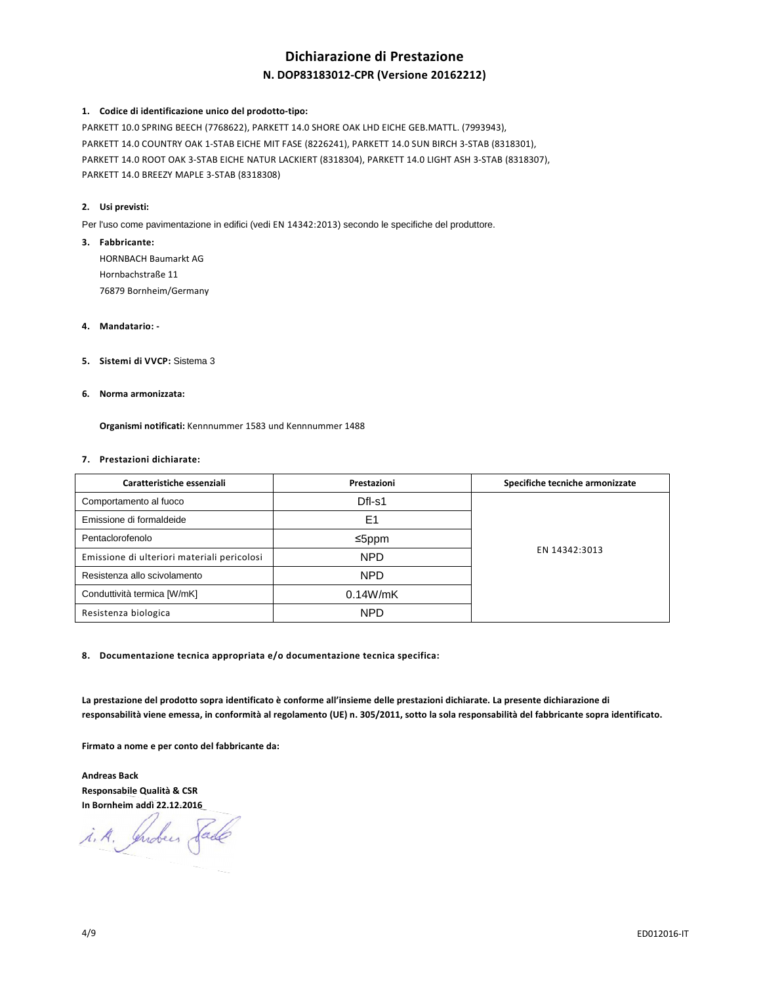# **Dichiarazione di Prestazione N. DOP83183012-CPR (Versione 20162212)**

## **1. Codice di identificazione unico del prodotto-tipo:**

PARKETT 10.0 SPRING BEECH (7768622), PARKETT 14.0 SHORE OAK LHD EICHE GEB.MATTL. (7993943), PARKETT 14.0 COUNTRY OAK 1-STAB EICHE MIT FASE (8226241), PARKETT 14.0 SUN BIRCH 3-STAB (8318301), PARKETT 14.0 ROOT OAK 3-STAB EICHE NATUR LACKIERT (8318304), PARKETT 14.0 LIGHT ASH 3-STAB (8318307), PARKETT 14.0 BREEZY MAPLE 3-STAB (8318308)

## **2. Usi previsti:**

Per l'uso come pavimentazione in edifici (vedi EN 14342:2013) secondo le specifiche del produttore.

- **3. Fabbricante:**  HORNBACH Baumarkt AG Hornbachstraße 11 76879 Bornheim/Germany
- **4. Mandatario:**
- **5. Sistemi di VVCP:** Sistema 3
- **6. Norma armonizzata:**

 **Organismi notificati:** Kennnummer 1583 und Kennnummer 1488

#### **7. Prestazioni dichiarate:**

| Caratteristiche essenziali                  | Prestazioni | Specifiche tecniche armonizzate |
|---------------------------------------------|-------------|---------------------------------|
| Comportamento al fuoco                      | Dfl-s1      |                                 |
| Emissione di formaldeide                    | E1          |                                 |
| Pentaclorofenolo                            | ≤5ppm       |                                 |
| Emissione di ulteriori materiali pericolosi | <b>NPD</b>  | EN 14342:3013                   |
| Resistenza allo scivolamento                | <b>NPD</b>  |                                 |
| Conduttività termica [W/mK]                 | 0.14W/mK    |                                 |
| Resistenza biologica                        | <b>NPD</b>  |                                 |

**8. Documentazione tecnica appropriata e/o documentazione tecnica specifica:** 

**La prestazione del prodotto sopra identificato è conforme all'insieme delle prestazioni dichiarate. La presente dichiarazione di responsabilità viene emessa, in conformità al regolamento (UE) n. 305/2011, sotto la sola responsabilità del fabbricante sopra identificato.** 

**Firmato a nome e per conto del fabbricante da:** 

**Andreas Back Responsabile Qualità & CSR In Bornheim addì 22.12.2016**

i. A. Indees Sade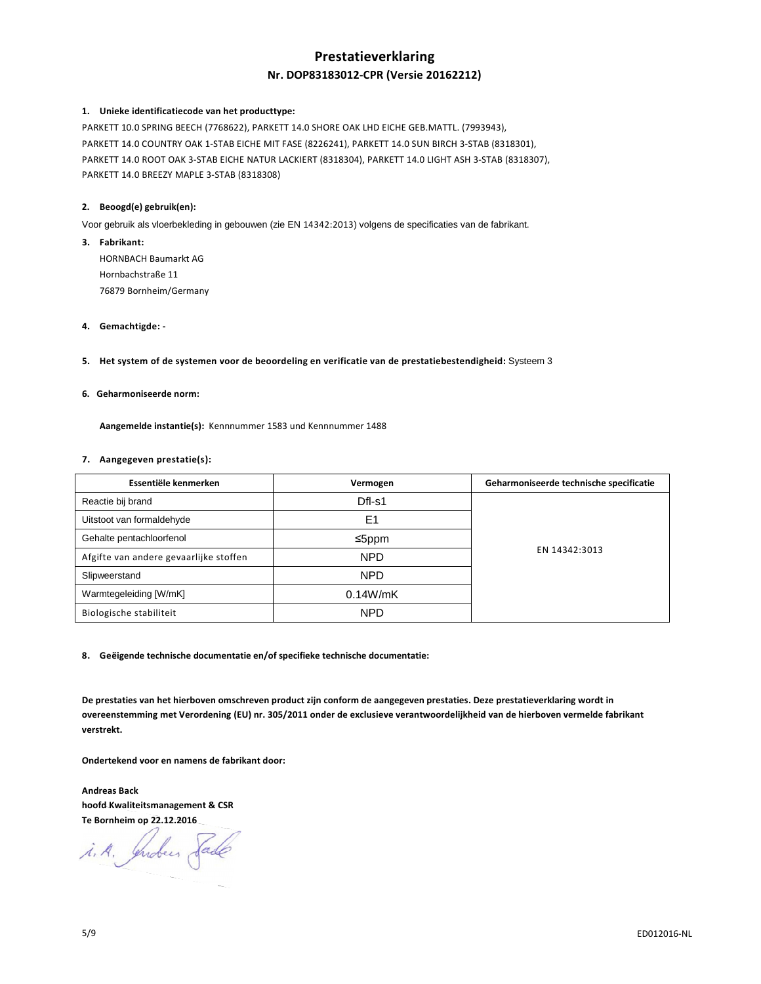# **Prestatieverklaring Nr. DOP83183012-CPR (Versie 20162212)**

## **1. Unieke identificatiecode van het producttype:**

PARKETT 10.0 SPRING BEECH (7768622), PARKETT 14.0 SHORE OAK LHD EICHE GEB.MATTL. (7993943), PARKETT 14.0 COUNTRY OAK 1-STAB EICHE MIT FASE (8226241), PARKETT 14.0 SUN BIRCH 3-STAB (8318301), PARKETT 14.0 ROOT OAK 3-STAB EICHE NATUR LACKIERT (8318304), PARKETT 14.0 LIGHT ASH 3-STAB (8318307), PARKETT 14.0 BREEZY MAPLE 3-STAB (8318308)

## **2. Beoogd(e) gebruik(en):**

Voor gebruik als vloerbekleding in gebouwen (zie EN 14342:2013) volgens de specificaties van de fabrikant.

- **3. Fabrikant:**  HORNBACH Baumarkt AG Hornbachstraße 11 76879 Bornheim/Germany
- **4. Gemachtigde:**
- **5. Het system of de systemen voor de beoordeling en verificatie van de prestatiebestendigheid:** Systeem 3

#### **6. Geharmoniseerde norm:**

 **Aangemelde instantie(s):** Kennnummer 1583 und Kennnummer 1488

## **7. Aangegeven prestatie(s):**

| Essentiële kenmerken                   | Vermogen   | Geharmoniseerde technische specificatie |
|----------------------------------------|------------|-----------------------------------------|
| Reactie bij brand                      | Dfl-s1     |                                         |
| Uitstoot van formaldehyde              | E1         |                                         |
| Gehalte pentachloorfenol               | ≤5ppm      |                                         |
| Afgifte van andere gevaarlijke stoffen | <b>NPD</b> | EN 14342:3013                           |
| Slipweerstand                          | <b>NPD</b> |                                         |
| Warmtegeleiding [W/mK]                 | 0.14W/mK   |                                         |
| Biologische stabiliteit                | <b>NPD</b> |                                         |

**8. Geëigende technische documentatie en/of specifieke technische documentatie:** 

**De prestaties van het hierboven omschreven product zijn conform de aangegeven prestaties. Deze prestatieverklaring wordt in overeenstemming met Verordening (EU) nr. 305/2011 onder de exclusieve verantwoordelijkheid van de hierboven vermelde fabrikant verstrekt.** 

**Ondertekend voor en namens de fabrikant door:** 

**Andreas Back hoofd Kwaliteitsmanagement & CSR Te Bornheim op 22.12.2016** 

i. A. Juden Sade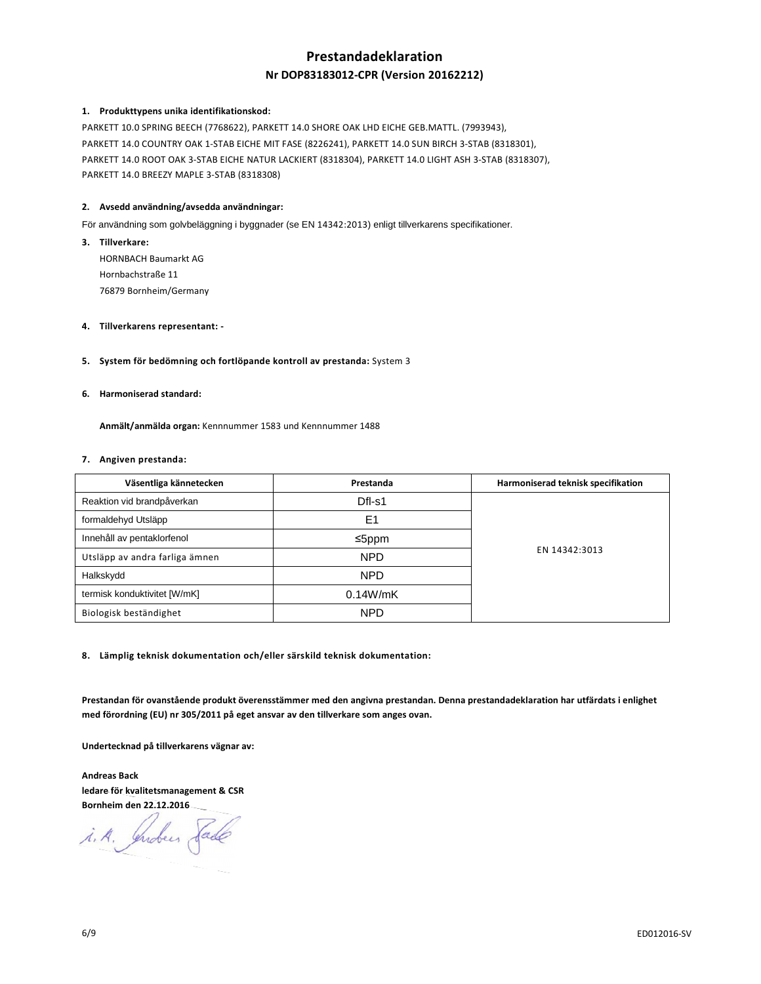# **Prestandadeklaration Nr DOP83183012-CPR (Version 20162212)**

#### **1. Produkttypens unika identifikationskod:**

PARKETT 10.0 SPRING BEECH (7768622), PARKETT 14.0 SHORE OAK LHD EICHE GEB.MATTL. (7993943), PARKETT 14.0 COUNTRY OAK 1-STAB EICHE MIT FASE (8226241), PARKETT 14.0 SUN BIRCH 3-STAB (8318301), PARKETT 14.0 ROOT OAK 3-STAB EICHE NATUR LACKIERT (8318304), PARKETT 14.0 LIGHT ASH 3-STAB (8318307), PARKETT 14.0 BREEZY MAPLE 3-STAB (8318308)

#### **2. Avsedd användning/avsedda användningar:**

För användning som golvbeläggning i byggnader (se EN 14342:2013) enligt tillverkarens specifikationer.

**3. Tillverkare:**  HORNBACH Baumarkt AG Hornbachstraße 11 76879 Bornheim/Germany

#### **4. Tillverkarens representant: -**

**5. System för bedömning och fortlöpande kontroll av prestanda:** System 3

#### **6. Harmoniserad standard:**

 **Anmält/anmälda organ:** Kennnummer 1583 und Kennnummer 1488

#### **7. Angiven prestanda:**

| Väsentliga kännetecken         | Prestanda  | Harmoniserad teknisk specifikation |
|--------------------------------|------------|------------------------------------|
| Reaktion vid brandpåverkan     | Dfl-s1     |                                    |
| formaldehyd Utsläpp            | E1         |                                    |
| Innehåll av pentaklorfenol     | ≤5ppm      |                                    |
| Utsläpp av andra farliga ämnen | <b>NPD</b> | EN 14342:3013                      |
| Halkskydd                      | <b>NPD</b> |                                    |
| termisk konduktivitet [W/mK]   | 0.14W/mK   |                                    |
| Biologisk beständighet         | <b>NPD</b> |                                    |

**8. Lämplig teknisk dokumentation och/eller särskild teknisk dokumentation:** 

**Prestandan för ovanstående produkt överensstämmer med den angivna prestandan. Denna prestandadeklaration har utfärdats i enlighet med förordning (EU) nr 305/2011 på eget ansvar av den tillverkare som anges ovan.** 

**Undertecknad på tillverkarens vägnar av:** 

**Andreas Back ledare för kvalitetsmanagement & CSR Bornheim den 22.12.2016** 

i. A. Juden Sade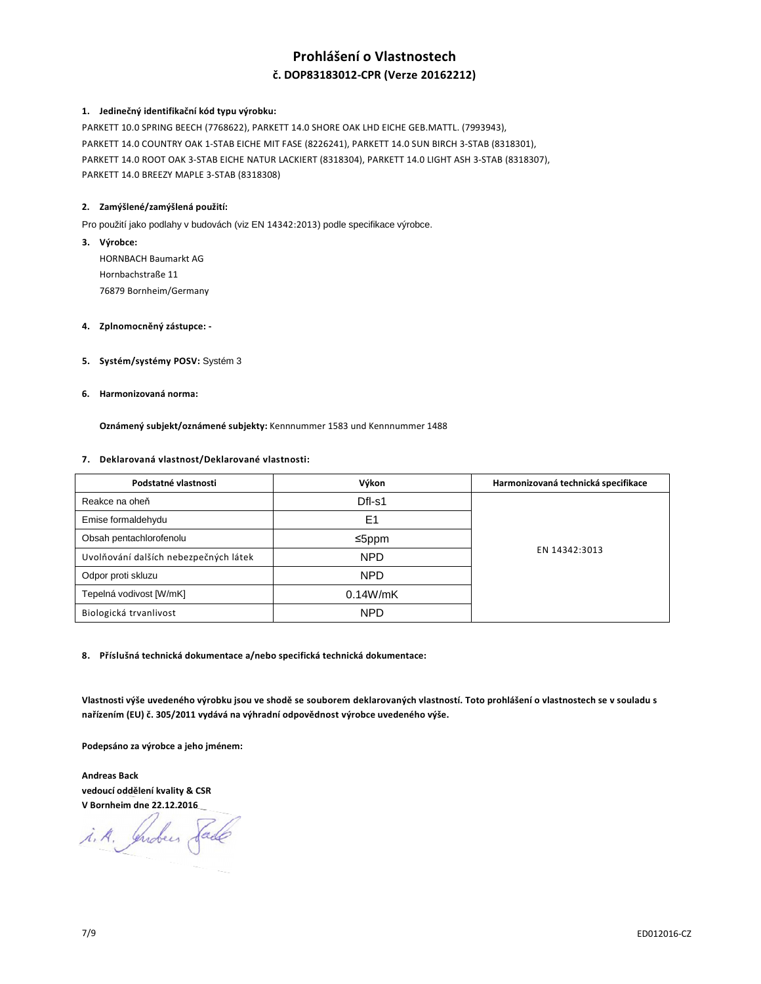# **Prohlášení o Vlastnostech č. DOP83183012-CPR (Verze 20162212)**

### **1. Jedinečný identifikační kód typu výrobku:**

PARKETT 10.0 SPRING BEECH (7768622), PARKETT 14.0 SHORE OAK LHD EICHE GEB.MATTL. (7993943), PARKETT 14.0 COUNTRY OAK 1-STAB EICHE MIT FASE (8226241), PARKETT 14.0 SUN BIRCH 3-STAB (8318301), PARKETT 14.0 ROOT OAK 3-STAB EICHE NATUR LACKIERT (8318304), PARKETT 14.0 LIGHT ASH 3-STAB (8318307), PARKETT 14.0 BREEZY MAPLE 3-STAB (8318308)

# **2. Zamýšlené/zamýšlená použití:**

Pro použití jako podlahy v budovách (viz EN 14342:2013) podle specifikace výrobce.

- **3. Výrobce:**  HORNBACH Baumarkt AG Hornbachstraße 11 76879 Bornheim/Germany
- **4. Zplnomocněný zástupce:**
- **5. Systém/systémy POSV:** Systém 3
- **6. Harmonizovaná norma:**

 **Oznámený subjekt/oznámené subjekty:** Kennnummer 1583 und Kennnummer 1488

### **7. Deklarovaná vlastnost/Deklarované vlastnosti:**

| Podstatné vlastnosti                  | Výkon      | Harmonizovaná technická specifikace |
|---------------------------------------|------------|-------------------------------------|
| Reakce na oheň                        | Dfl-s1     |                                     |
| Emise formaldehydu                    | E1         |                                     |
| Obsah pentachlorofenolu               | ≤5ppm      |                                     |
| Uvolňování dalších nebezpečných látek | <b>NPD</b> | EN 14342:3013                       |
| Odpor proti skluzu                    | <b>NPD</b> |                                     |
| Tepelná vodivost [W/mK]               | 0.14W/mK   |                                     |
| Biologická trvanlivost                | <b>NPD</b> |                                     |

**8. Příslušná technická dokumentace a/nebo specifická technická dokumentace:** 

**Vlastnosti výše uvedeného výrobku jsou ve shodě se souborem deklarovaných vlastností. Toto prohlášení o vlastnostech se v souladu s nařízením (EU) č. 305/2011 vydává na výhradní odpovědnost výrobce uvedeného výše.** 

**Podepsáno za výrobce a jeho jménem:** 

**Andreas Back vedoucí oddělení kvality & CSR V Bornheim dne 22.12.2016** 

i.A. Indees Sade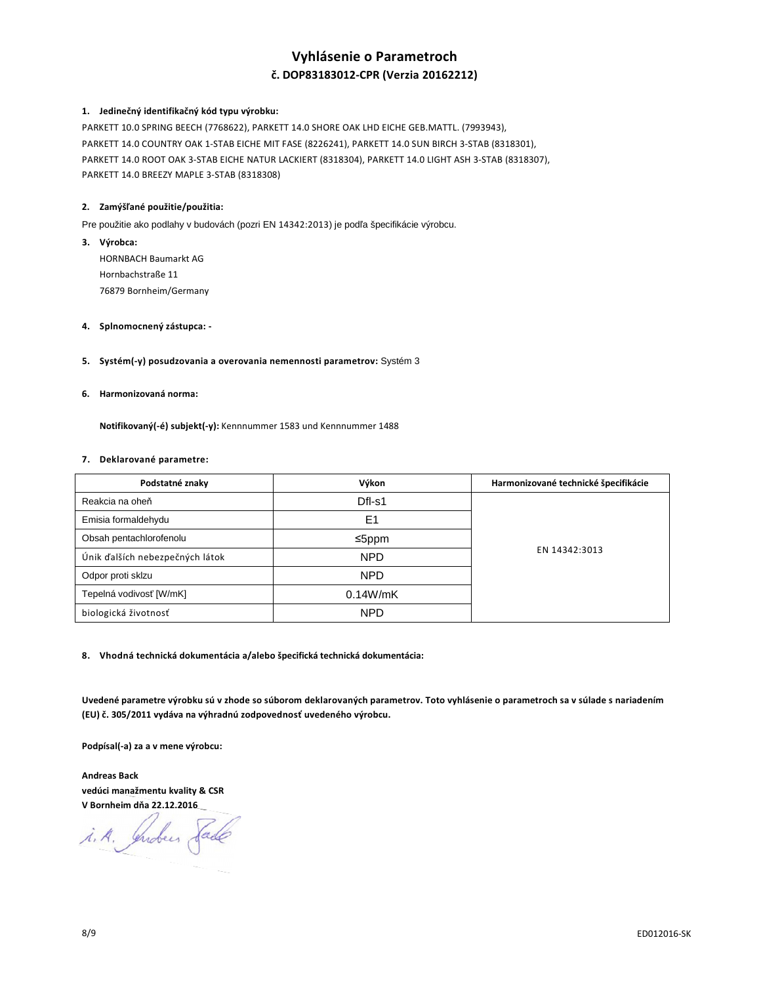# **Vyhlásenie o Parametroch č. DOP83183012-CPR (Verzia 20162212)**

### **1. Jedinečný identifikačný kód typu výrobku:**

PARKETT 10.0 SPRING BEECH (7768622), PARKETT 14.0 SHORE OAK LHD EICHE GEB.MATTL. (7993943), PARKETT 14.0 COUNTRY OAK 1-STAB EICHE MIT FASE (8226241), PARKETT 14.0 SUN BIRCH 3-STAB (8318301), PARKETT 14.0 ROOT OAK 3-STAB EICHE NATUR LACKIERT (8318304), PARKETT 14.0 LIGHT ASH 3-STAB (8318307), PARKETT 14.0 BREEZY MAPLE 3-STAB (8318308)

### **2. Zamýšľané použitie/použitia:**

Pre použitie ako podlahy v budovách (pozri EN 14342:2013) je podľa špecifikácie výrobcu.

**3. Výrobca:**  HORNBACH Baumarkt AG Hornbachstraße 11 76879 Bornheim/Germany

### **4. Splnomocnený zástupca: -**

**5. Systém(-y) posudzovania a overovania nemennosti parametrov:** Systém 3

#### **6. Harmonizovaná norma:**

 **Notifikovaný(-é) subjekt(-y):** Kennnummer 1583 und Kennnummer 1488

### **7. Deklarované parametre:**

| Podstatné znaky                 | Výkon      | Harmonizované technické špecifikácie |
|---------------------------------|------------|--------------------------------------|
| Reakcia na oheň                 | Dfl-s1     |                                      |
| Emisia formaldehydu             | E1         |                                      |
| Obsah pentachlorofenolu         | ≤5ppm      |                                      |
| Únik ďalších nebezpečných látok | <b>NPD</b> | EN 14342:3013                        |
| Odpor proti sklzu               | <b>NPD</b> |                                      |
| Tepelná vodivosť [W/mK]         | 0.14W/mK   |                                      |
| biologická životnosť            | <b>NPD</b> |                                      |

**8. Vhodná technická dokumentácia a/alebo špecifická technická dokumentácia:** 

**Uvedené parametre výrobku sú v zhode so súborom deklarovaných parametrov. Toto vyhlásenie o parametroch sa v súlade s nariadením (EU) č. 305/2011 vydáva na výhradnú zodpovednosť uvedeného výrobcu.** 

**Podpísal(-a) za a v mene výrobcu:** 

**Andreas Back vedúci manažmentu kvality & CSR V Bornheim dňa 22.12.2016** 

i.A. Indees Sade